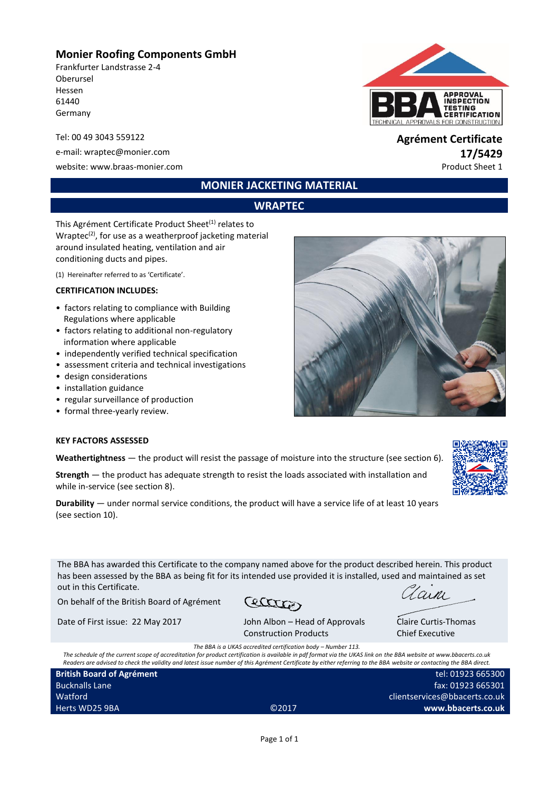# **Monier Roofing Components GmbH**

Frankfurter Landstrasse 2-4 Oberursel Hessen 61440 Germany

e-mail: wraptec@monier.com **17/5429**

website: www.braas-monier.com example of the example of the example of the example of the example of the example of the example of the example of the example of the example of the example of the example of the example of t



# Tel: 00 49 3043 559122 **Agrément Certificate**

# **MONIER JACKETING MATERIAL**

# **WRAPTEC**

This Agrément Certificate Product Sheet<sup>(1)</sup> relates to Wraptec<sup>(2)</sup>, for use as a weatherproof jacketing material around insulated heating, ventilation and air conditioning ducts and pipes.

(1) Hereinafter referred to as 'Certificate'.

#### **CERTIFICATION INCLUDES:**

- factors relating to compliance with Building Regulations where applicable
- factors relating to additional non-regulatory information where applicable
- independently verified technical specification
- assessment criteria and technical investigations
- design considerations
- installation guidance
- regular surveillance of production
- formal three-yearly review.

#### **KEY FACTORS ASSESSED**

**Weathertightness** — the product will resist the passage of moisture into the structure (see section 6).

**Strength** — the product has adequate strength to resist the loads associated with installation and while in-service (see section 8).

**Durability** — under normal service conditions, the product will have a service life of at least 10 years (see section 10).

The BBA has awarded this Certificate to the company named above for the product described herein. This product has been assessed by the BBA as being fit for its intended use provided it is installed, used and maintained as set out in this Certificate.

On behalf of the British Board of Agrément

Cetter

Date of First issue: 22 May 2017 John Albon – Head of Approvals

Construction Products

 $\sqrt{a_1 n_1}$ 

Claire Curtis-Thomas Chief Executive

*The BBA is a UKAS accredited certification body – Number 113.*

*The schedule of the current scope of accreditation for product certification is available in pdf format via the UKAS link on the BBA website at www.bbacerts.co.uk Readers are advised to check the validity and latest issue number of this Agrément Certificate by either referring to the BBA website or contacting the BBA direct.*

| <b>British Board of Agrément</b> |                   | tel: 01923 665300             |  |  |  |
|----------------------------------|-------------------|-------------------------------|--|--|--|
| <b>Bucknalls Lane</b>            |                   | fax: 01923 665301             |  |  |  |
| Watford                          |                   | clientservices@bbacerts.co.uk |  |  |  |
| Herts WD25 9BA                   | C <sub>2017</sub> | www.bbacerts.co.uk            |  |  |  |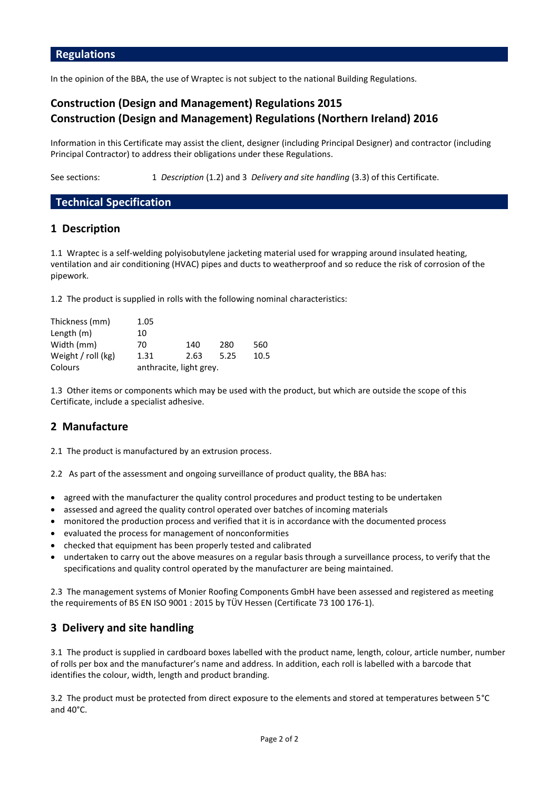In the opinion of the BBA, the use of Wraptec is not subject to the national Building Regulations.

# **Construction (Design and Management) Regulations 2015 Construction (Design and Management) Regulations (Northern Ireland) 2016**

Information in this Certificate may assist the client, designer (including Principal Designer) and contractor (including Principal Contractor) to address their obligations under these Regulations.

See sections: 1 *Description* (1.2) and 3 *Delivery and site handling* (3.3) of this Certificate.

# **Technical Specification**

# **1 Description**

1.1 Wraptec is a self-welding polyisobutylene jacketing material used for wrapping around insulated heating, ventilation and air conditioning (HVAC) pipes and ducts to weatherproof and so reduce the risk of corrosion of the pipework.

1.2 The product is supplied in rolls with the following nominal characteristics:

| Thickness (mm)     | 1.05 |                         |      |      |
|--------------------|------|-------------------------|------|------|
| Length $(m)$       | 10   |                         |      |      |
| Width (mm)         | 70   | 140                     | 280  | 560  |
| Weight / roll (kg) | 1.31 | 2.63                    | 5.25 | 10.5 |
| Colours            |      | anthracite, light grey. |      |      |

1.3 Other items or components which may be used with the product, but which are outside the scope of this Certificate, include a specialist adhesive.

# **2 Manufacture**

2.1 The product is manufactured by an extrusion process.

2.2 As part of the assessment and ongoing surveillance of product quality, the BBA has:

- agreed with the manufacturer the quality control procedures and product testing to be undertaken
- assessed and agreed the quality control operated over batches of incoming materials
- monitored the production process and verified that it is in accordance with the documented process
- evaluated the process for management of nonconformities
- checked that equipment has been properly tested and calibrated
- undertaken to carry out the above measures on a regular basis through a surveillance process, to verify that the specifications and quality control operated by the manufacturer are being maintained.

2.3 The management systems of Monier Roofing Components GmbH have been assessed and registered as meeting the requirements of BS EN ISO 9001 : 2015 by TÜV Hessen (Certificate 73 100 176-1).

# **3 Delivery and site handling**

3.1 The product is supplied in cardboard boxes labelled with the product name, length, colour, article number, number of rolls per box and the manufacturer's name and address. In addition, each roll is labelled with a barcode that identifies the colour, width, length and product branding.

3.2 The product must be protected from direct exposure to the elements and stored at temperatures between 5°C and 40°C.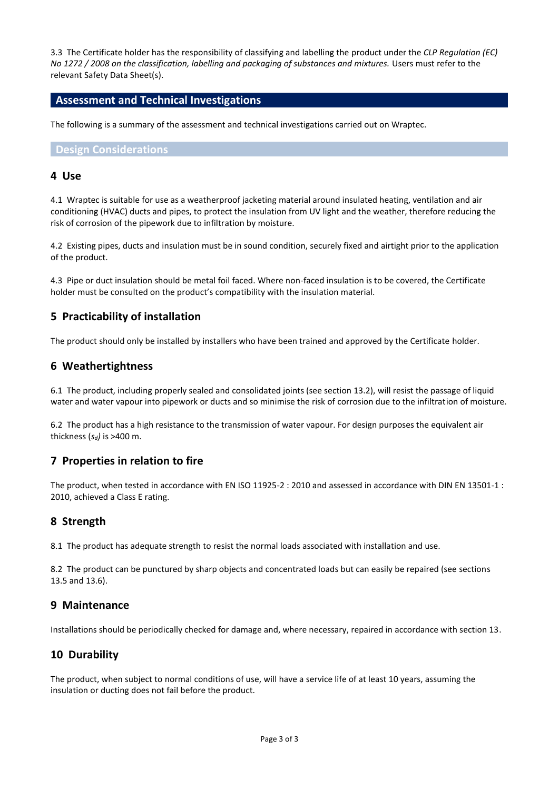3.3 The Certificate holder has the responsibility of classifying and labelling the product under the *CLP Regulation (EC) No 1272 / 2008 on the classification, labelling and packaging of substances and mixtures.* Users must refer to the relevant Safety Data Sheet(s).

#### **Assessment and Technical Investigations**

The following is a summary of the assessment and technical investigations carried out on Wraptec.

**Design Considerations**

#### **4 Use**

4.1 Wraptec is suitable for use as a weatherproof jacketing material around insulated heating, ventilation and air conditioning (HVAC) ducts and pipes, to protect the insulation from UV light and the weather, therefore reducing the risk of corrosion of the pipework due to infiltration by moisture.

4.2 Existing pipes, ducts and insulation must be in sound condition, securely fixed and airtight prior to the application of the product.

4.3 Pipe or duct insulation should be metal foil faced. Where non-faced insulation is to be covered, the Certificate holder must be consulted on the product's compatibility with the insulation material.

# **5 Practicability of installation**

The product should only be installed by installers who have been trained and approved by the Certificate holder.

### **6 Weathertightness**

6.1 The product, including properly sealed and consolidated joints (see section 13.2), will resist the passage of liquid water and water vapour into pipework or ducts and so minimise the risk of corrosion due to the infiltration of moisture.

6.2 The product has a high resistance to the transmission of water vapour. For design purposes the equivalent air thickness (*sd)* is >400 m.

### **7 Properties in relation to fire**

The product, when tested in accordance with EN ISO 11925-2 : 2010 and assessed in accordance with DIN EN 13501-1 : 2010, achieved a Class E rating.

### **8 Strength**

8.1 The product has adequate strength to resist the normal loads associated with installation and use.

8.2 The product can be punctured by sharp objects and concentrated loads but can easily be repaired (see sections 13.5 and 13.6).

### **9 Maintenance**

Installations should be periodically checked for damage and, where necessary, repaired in accordance with section 13.

### **10 Durability**

The product, when subject to normal conditions of use, will have a service life of at least 10 years, assuming the insulation or ducting does not fail before the product.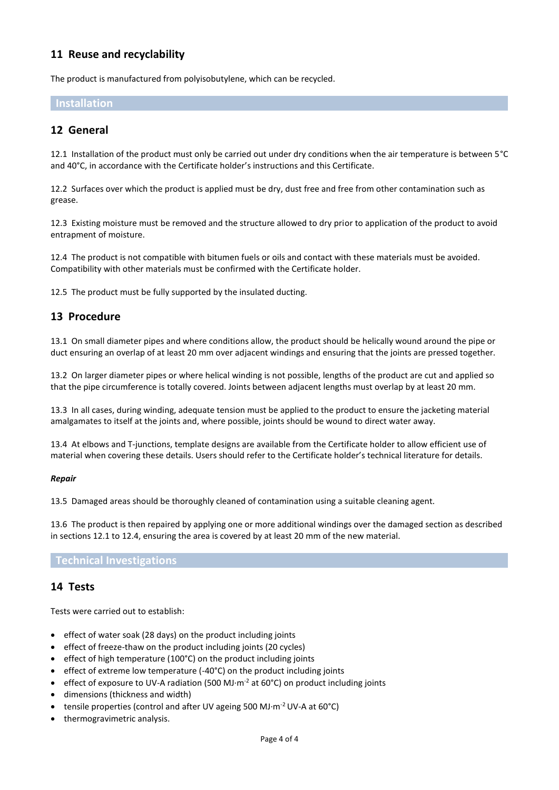# **11 Reuse and recyclability**

The product is manufactured from polyisobutylene, which can be recycled.

### **Installation**

# **12 General**

12.1 Installation of the product must only be carried out under dry conditions when the air temperature is between 5°C and 40°C, in accordance with the Certificate holder's instructions and this Certificate.

12.2 Surfaces over which the product is applied must be dry, dust free and free from other contamination such as grease.

12.3 Existing moisture must be removed and the structure allowed to dry prior to application of the product to avoid entrapment of moisture.

12.4 The product is not compatible with bitumen fuels or oils and contact with these materials must be avoided. Compatibility with other materials must be confirmed with the Certificate holder.

12.5 The product must be fully supported by the insulated ducting.

# **13 Procedure**

13.1 On small diameter pipes and where conditions allow, the product should be helically wound around the pipe or duct ensuring an overlap of at least 20 mm over adjacent windings and ensuring that the joints are pressed together.

13.2 On larger diameter pipes or where helical winding is not possible, lengths of the product are cut and applied so that the pipe circumference is totally covered. Joints between adjacent lengths must overlap by at least 20 mm.

13.3 In all cases, during winding, adequate tension must be applied to the product to ensure the jacketing material amalgamates to itself at the joints and, where possible, joints should be wound to direct water away.

13.4 At elbows and T-junctions, template designs are available from the Certificate holder to allow efficient use of material when covering these details. Users should refer to the Certificate holder's technical literature for details.

#### *Repair*

13.5 Damaged areas should be thoroughly cleaned of contamination using a suitable cleaning agent.

13.6 The product is then repaired by applying one or more additional windings over the damaged section as described in sections 12.1 to 12.4, ensuring the area is covered by at least 20 mm of the new material.

#### **Technical Investigations**

### **14 Tests**

Tests were carried out to establish:

- effect of water soak (28 days) on the product including joints
- effect of freeze-thaw on the product including joints (20 cycles)
- effect of high temperature (100°C) on the product including joints
- effect of extreme low temperature (-40°C) on the product including joints
- effect of exposure to UV-A radiation (500 MJ $\cdot$ m<sup>-2</sup> at 60°C) on product including joints
- dimensions (thickness and width)
- tensile properties (control and after UV ageing 500 MJ·m-2 UV-A at 60°C)
- thermogravimetric analysis.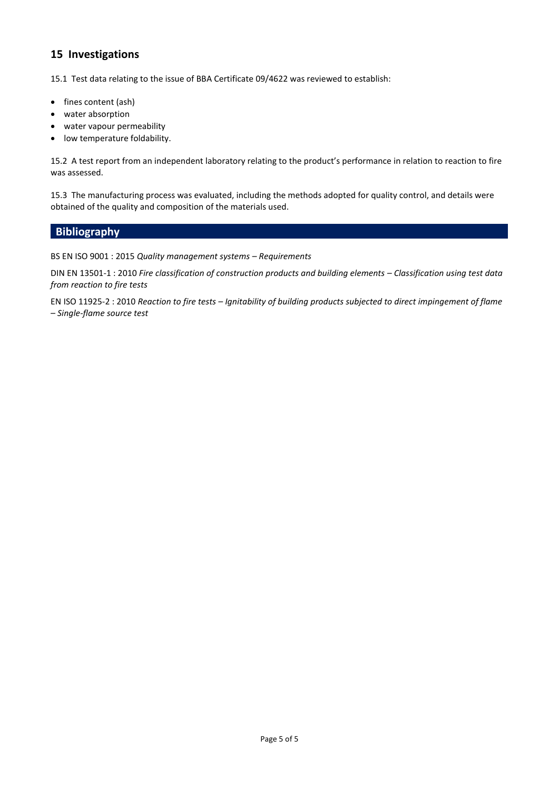# **15 Investigations**

15.1 Test data relating to the issue of BBA Certificate 09/4622 was reviewed to establish:

- fines content (ash)
- water absorption
- water vapour permeability
- low temperature foldability.

15.2 A test report from an independent laboratory relating to the product's performance in relation to reaction to fire was assessed.

15.3 The manufacturing process was evaluated, including the methods adopted for quality control, and details were obtained of the quality and composition of the materials used.

#### **Bibliography**

BS EN ISO 9001 : 2015 *Quality management systems – Requirements*

DIN EN 13501-1 : 2010 *Fire classification of construction products and building elements - Classification using test data from reaction to fire tests*

EN ISO 11925-2 : 2010 *Reaction to fire tests – Ignitability of building products subjected to direct impingement of flame – Single-flame source test*